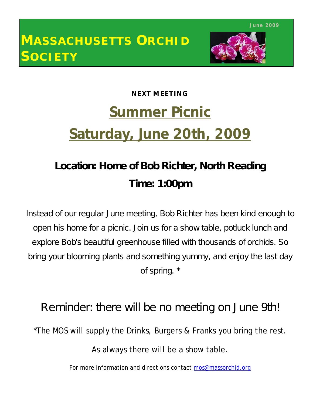

# **NEXT MEETING Summer Picnic Saturday, June 20th, 2009**

## **Location: Home of Bob Richter, North Reading Time: 1:00pm**

Instead of our regular June meeting, Bob Richter has been kind enough to open his home for a picnic. Join us for a show table, potluck lunch and explore Bob's beautiful greenhouse filled with thousands of orchids. So bring your blooming plants and something yummy, and enjoy the last day of spring. \*

## Reminder: there will be no meeting on June 9th!

\*The MOS will supply the Drinks, Burgers & Franks you bring the rest.

As always there will be a show table.

For more information and directions contact mos@massorchid.org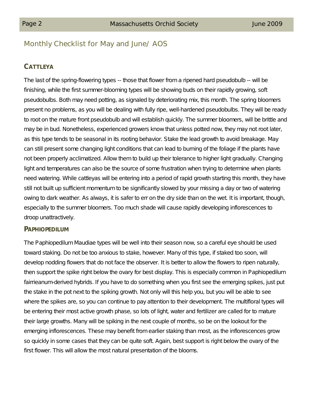## Monthly Checklist for May and June/ AOS

#### **CATTLEYA**

The last of the spring-flowering types -- those that flower from a ripened hard pseudobulb -- will be finishing, while the first summer-blooming types will be showing buds on their rapidly growing, soft pseudobulbs. Both may need potting, as signaled by deteriorating mix, this month. The spring bloomers present no problems, as you will be dealing with fully ripe, well-hardened pseudobulbs. They will be ready to root on the mature front pseudobulb and will establish quickly. The summer bloomers, will be brittle and may be in bud. Nonetheless, experienced growers know that unless potted now, they may not root later, as this type tends to be seasonal in its rooting behavior. Stake the lead growth to avoid breakage. May can still present some changing light conditions that can lead to burning of the foliage if the plants have not been properly acclimatized. Allow them to build up their tolerance to higher light gradually. Changing light and temperatures can also be the source of some frustration when trying to determine when plants need watering. While cattleyas will be entering into a period of rapid growth starting this month, they have still not built up sufficient momentum to be significantly slowed by your missing a day or two of watering owing to dark weather. As always, it is safer to err on the dry side than on the wet. It is important, though, especially to the summer bloomers. Too much shade will cause rapidly developing inflorescences to droop unattractively.

#### **PAPHIOPEDILUM**

The Paphiopedilum Maudiae types will be well into their season now, so a careful eye should be used toward staking. Do not be too anxious to stake, however. Many of this type, if staked too soon, will develop nodding flowers that do not face the observer. It is better to allow the flowers to ripen naturally, then support the spike right below the ovary for best display. This is especially common in Paphiopedilum fairrieanum-derived hybrids. If you have to do something when you first see the emerging spikes, just put the stake in the pot next to the spiking growth. Not only will this help you, but you will be able to see where the spikes are, so you can continue to pay attention to their development. The multifloral types will be entering their most active growth phase, so lots of light, water and fertilizer are called for to mature their large growths. Many will be spiking in the next couple of months, so be on the lookout for the emerging inflorescences. These may benefit from earlier staking than most, as the inflorescences grow so quickly in some cases that they can be quite soft. Again, best support is right below the ovary of the first flower. This will allow the most natural presentation of the blooms.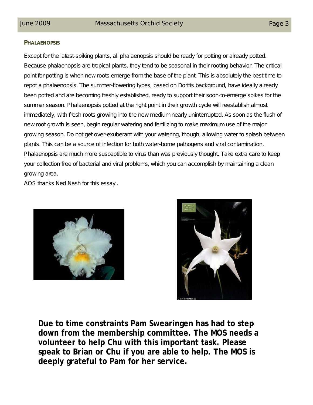#### **PHALAENOPSIS**

Except for the latest-spiking plants, all phalaenopsis should be ready for potting or already potted. Because phalaenopsis are tropical plants, they tend to be seasonal in their rooting behavior. The critical point for potting is when new roots emerge from the base of the plant. This is absolutely the best time to repot a phalaenopsis. The summer-flowering types, based on Doritis background, have ideally already been potted and are becoming freshly established, ready to support their soon-to-emerge spikes for the summer season. Phalaenopsis potted at the right point in their growth cycle will reestablish almost immediately, with fresh roots growing into the new medium nearly uninterrupted. As soon as the flush of new root growth is seen, begin regular watering and fertilizing to make maximum use of the major growing season. Do not get over-exuberant with your watering, though, allowing water to splash between plants. This can be a source of infection for both water-borne pathogens and viral contamination. Phalaenopsis are much more susceptible to virus than was previously thought. Take extra care to keep your collection free of bacterial and viral problems, which you can accomplish by maintaining a clean growing area.

*AOS thanks Ned Nash for this essay .*





**Due to time constraints Pam Swearingen has had to step down from the membership committee. The MOS needs a volunteer to help Chu with this important task. Please speak to Brian or Chu if you are able to help. The MOS is deeply grateful to Pam for her service.**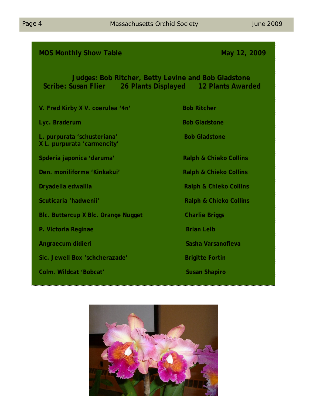### **MOS Monthly Show Table May 12, 2009**

## **Judges: Bob Ritcher, Betty Levine and Bob Gladstone Scribe: Susan Flier 26 Plants Displayed 12 Plants Awarded**

**V. Fred Kirby X V. coerulea '4n' Bob Ritcher Lyc. Braderum Bob Gladstone L. purpurata 'schusteriana'** Bob Gladstone **X L. purpurata 'carmencity'** Spderia japonica 'daruma' **Ralph & Chieko Collins Den. moniliforme 'Kinkakui' Ralph & Chieko Collins Dryadella edwallia** Ralph & Chieko Collins **Scuticaria 'hadwenii' Ralph & Chieko Collins Blc. Buttercup X Blc. Orange Nugget Charlie Briggs P. Victoria Reginae Brian Leib** Brian Leib **Angraecum didieri** Sasha Varsanofieva **SIC. Jewell Box 'schcherazade'** Brigitte Fortin **Colm. Wildcat 'Bobcat'** Susan Shapiro

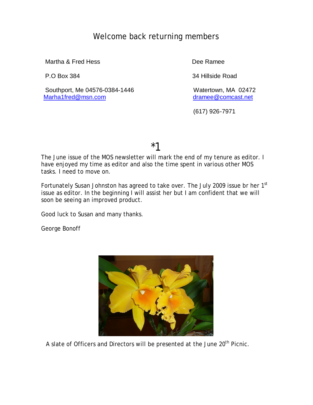## Welcome back returning members

Martha & Fred Hess **Dee Ramee** 

Southport, Me 04576-0384-1446<br>
Marha1fred@msn.com dramee@comcast.net

P.O Box 384 34 Hillside Road

dramee@comcast.net

(617) 926-7971

\*1

The June issue of the MOS newsletter will mark the end of my tenure as editor. I have enjoyed my time as editor and also the time spent in various other MOS tasks. I need to move on.

Fortunately Susan Johnston has agreed to take over. The July 2009 issue br her 1<sup>st</sup> issue as editor. In the beginning I will assist her but I am confident that we will soon be seeing an improved product.

Good luck to Susan and many thanks.

George Bonoff



A slate of Officers and Directors will be presented at the June 20<sup>th</sup> Picnic.